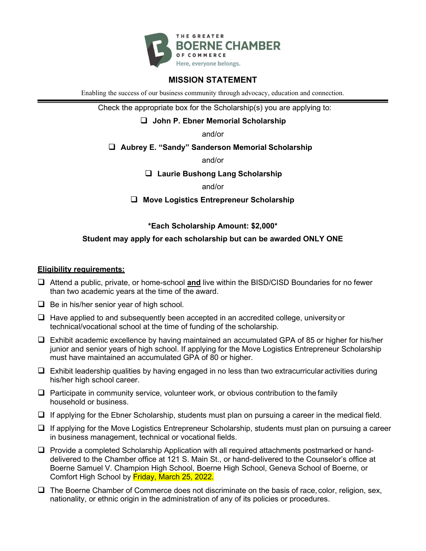

### **MISSION STATEMENT**

Enabling the success of our business community through advocacy, education and connection.

Check the appropriate box for the Scholarship(s) you are applying to:

**John P. Ebner Memorial Scholarship**

and/or

**Aubrey E. "Sandy" Sanderson Memorial Scholarship**

and/or

**Laurie Bushong Lang Scholarship**

and/or

**Move Logistics Entrepreneur Scholarship**

#### **\*Each Scholarship Amount: \$2,000\***

#### **Student may apply for each scholarship but can be awarded ONLY ONE**

#### **Eligibility requirements:**

- Attend a public, private, or home-school **and** live within the BISD/CISD Boundaries for no fewer than two academic years at the time of the award.
- $\Box$  Be in his/her senior year of high school.
- $\Box$  Have applied to and subsequently been accepted in an accredited college, university or technical/vocational school at the time of funding of the scholarship.
- $\Box$  Exhibit academic excellence by having maintained an accumulated GPA of 85 or higher for his/her junior and senior years of high school. If applying for the Move Logistics Entrepreneur Scholarship must have maintained an accumulated GPA of 80 or higher.
- $\Box$  Exhibit leadership qualities by having engaged in no less than two extracurricular activities during his/her high school career.
- $\Box$  Participate in community service, volunteer work, or obvious contribution to the family household or business.
- $\Box$  If applying for the Ebner Scholarship, students must plan on pursuing a career in the medical field.
- $\Box$  If applying for the Move Logistics Entrepreneur Scholarship, students must plan on pursuing a career in business management, technical or vocational fields.
- $\Box$  Provide a completed Scholarship Application with all required attachments postmarked or handdelivered to the Chamber office at 121 S. Main St., or hand-delivered to the Counselor's office at Boerne Samuel V. Champion High School, Boerne High School, Geneva School of Boerne, or Comfort High School by Friday, March 25, 2022.
- $\Box$  The Boerne Chamber of Commerce does not discriminate on the basis of race, color, religion, sex, nationality, or ethnic origin in the administration of any of its policies or procedures.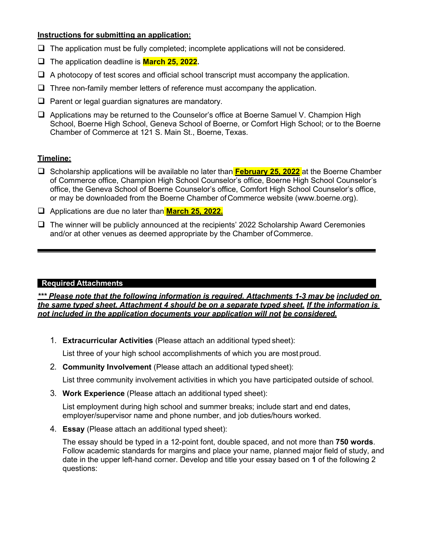#### **Instructions for submitting an application:**

- $\Box$  The application must be fully completed; incomplete applications will not be considered.
- The application deadline is **March 25, 2022.**
- $\Box$  A photocopy of test scores and official school transcript must accompany the application.
- $\Box$  Three non-family member letters of reference must accompany the application.
- $\Box$  Parent or legal guardian signatures are mandatory.
- Applications may be returned to the Counselor's office at Boerne Samuel V. Champion High School, Boerne High School, Geneva School of Boerne, or Comfort High School; or to the Boerne Chamber of Commerce at 121 S. Main St., Boerne, Texas.

#### **Timeline:**

- Scholarship applications will be available no later than **February 25, 2022** at the Boerne Chamber of Commerce office, Champion High School Counselor's office, Boerne High School Counselor's office, the Geneva School of Boerne Counselor's office, Comfort High School Counselor's office, or may be downloaded from the Boerne Chamber ofCommerce website (www.boerne.org).
- Applications are due no later than **March 25, 2022.**
- $\Box$  The winner will be publicly announced at the recipients' 2022 Scholarship Award Ceremonies and/or at other venues as deemed appropriate by the Chamber ofCommerce.

#### **Required Attachments**

*\*\*\* Please note that the following information is required. Attachments 1-3 may be included on the same typed sheet. Attachment 4 should be on a separate typed sheet. If the information is not included in the application documents your application will not be considered.*

1. **Extracurricular Activities** (Please attach an additional typed sheet):

List three of your high school accomplishments of which you are most proud.

2. **Community Involvement** (Please attach an additional typed sheet):

List three community involvement activities in which you have participated outside of school.

3. **Work Experience** (Please attach an additional typed sheet):

List employment during high school and summer breaks; include start and end dates, employer/supervisor name and phone number, and job duties/hours worked.

4. **Essay** (Please attach an additional typed sheet):

The essay should be typed in a 12-point font, double spaced, and not more than **750 words**. Follow academic standards for margins and place your name, planned major field of study, and date in the upper left-hand corner. Develop and title your essay based on **1** of the following 2 questions: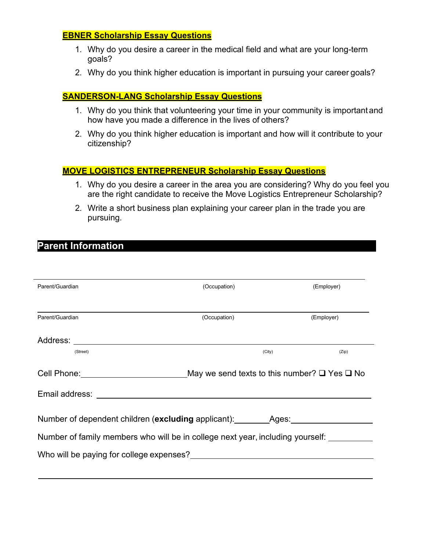### **EBNER Scholarship Essay Questions**

- 1. Why do you desire a career in the medical field and what are your long-term goals?
- 2. Why do you think higher education is important in pursuing your career goals?

### **SANDERSON-LANG Scholarship Essay Questions**

- 1. Why do you think that volunteering your time in your community is importantand how have you made a difference in the lives of others?
- 2. Why do you think higher education is important and how will it contribute to your citizenship?

### **MOVE LOGISTICS ENTREPRENEUR Scholarship Essay Questions**

- 1. Why do you desire a career in the area you are considering? Why do you feel you are the right candidate to receive the Move Logistics Entrepreneur Scholarship?
- 2. Write a short business plan explaining your career plan in the trade you are pursuing.

# **Parent Information**

| Parent/Guardian                            | (Occupation)                                                                   | (Employer)                                                   |
|--------------------------------------------|--------------------------------------------------------------------------------|--------------------------------------------------------------|
| Parent/Guardian                            | (Occupation)                                                                   | (Employer)                                                   |
|                                            |                                                                                |                                                              |
| (Street)                                   | (City)                                                                         | (Zip)                                                        |
| Cell Phone: <u>_______________________</u> |                                                                                | May we send texts to this number? $\square$ Yes $\square$ No |
|                                            |                                                                                |                                                              |
|                                            | Number of dependent children ( <b>excluding</b> applicant): Ages:              |                                                              |
|                                            | Number of family members who will be in college next year, including yourself: |                                                              |
|                                            |                                                                                |                                                              |
|                                            |                                                                                |                                                              |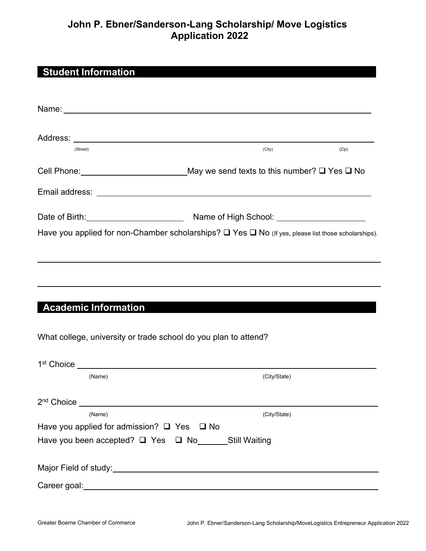# **John P. Ebner/Sanderson-Lang Scholarship/ Move Logistics Application 2022**

# **Student Information**

| Name: We have a state of the state of the state of the state of the state of the state of the state of the state of the state of the state of the state of the state of the state of the state of the state of the state of th |              |       |
|--------------------------------------------------------------------------------------------------------------------------------------------------------------------------------------------------------------------------------|--------------|-------|
| (Street)                                                                                                                                                                                                                       | (City)       | (Zip) |
| Cell Phone: __________________________________May we send texts to this number? □ Yes □ No                                                                                                                                     |              |       |
|                                                                                                                                                                                                                                |              |       |
|                                                                                                                                                                                                                                |              |       |
| Have you applied for non-Chamber scholarships? Q Yes Q No (If yes, please list those scholarships).                                                                                                                            |              |       |
|                                                                                                                                                                                                                                |              |       |
|                                                                                                                                                                                                                                |              |       |
| <b>Academic Information</b>                                                                                                                                                                                                    |              |       |
| What college, university or trade school do you plan to attend?                                                                                                                                                                |              |       |
| 1 <sup>st</sup> Choice _______________________________                                                                                                                                                                         |              |       |
| (Name)                                                                                                                                                                                                                         | (City/State) |       |
| 2 <sup>nd</sup> Choice                                                                                                                                                                                                         |              |       |
| (Name)<br>Have you applied for admission? □ Yes □ No                                                                                                                                                                           | (City/State) |       |
| Have you been accepted? □ Yes □ No______Still Waiting                                                                                                                                                                          |              |       |
|                                                                                                                                                                                                                                |              |       |
|                                                                                                                                                                                                                                |              |       |